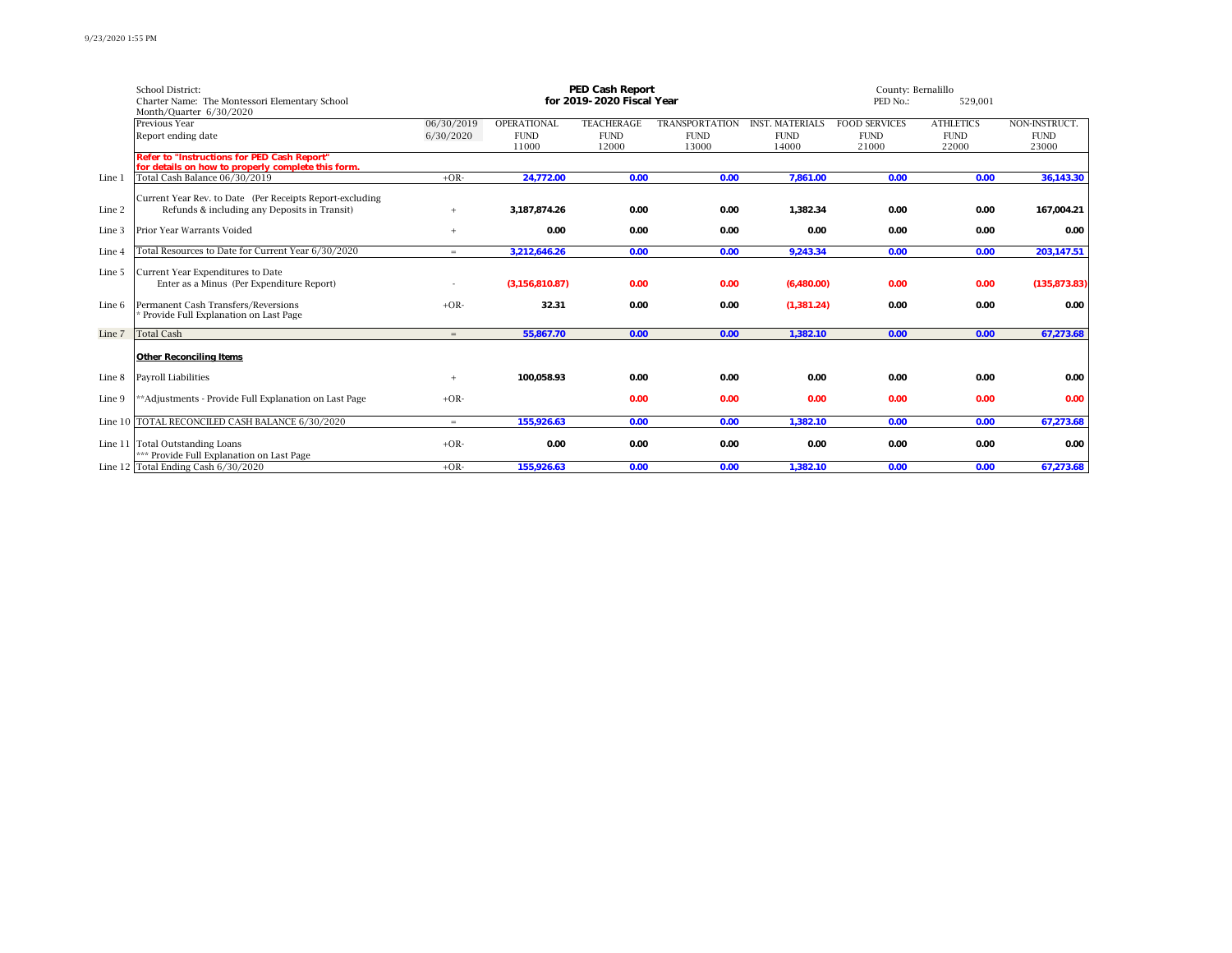|        | <b>School District:</b>                                                                                  |            |                      | PED Cash Report           | County: Bernalillo    |                        |                      |                      |                      |
|--------|----------------------------------------------------------------------------------------------------------|------------|----------------------|---------------------------|-----------------------|------------------------|----------------------|----------------------|----------------------|
|        | Charter Name: The Montessori Elementary School                                                           |            |                      | for 2019-2020 Fiscal Year |                       |                        | PED No.:             |                      |                      |
|        | Month/Quarter 6/30/2020                                                                                  |            |                      |                           |                       |                        |                      |                      |                      |
|        | Previous Year                                                                                            | 06/30/2019 | <b>OPERATIONAL</b>   | <b>TEACHERAGE</b>         | <b>TRANSPORTATION</b> | <b>INST. MATERIALS</b> | <b>FOOD SERVICES</b> | <b>ATHLETICS</b>     | NON-INSTRUCT.        |
|        | Report ending date                                                                                       | 6/30/2020  | <b>FUND</b><br>11000 | <b>FUND</b><br>12000      | <b>FUND</b><br>13000  | <b>FUND</b><br>14000   | <b>FUND</b><br>21000 | <b>FUND</b><br>22000 | <b>FUND</b><br>23000 |
|        | Refer to "Instructions for PED Cash Report"                                                              |            |                      |                           |                       |                        |                      |                      |                      |
|        | for details on how to properly complete this form.                                                       |            |                      |                           |                       |                        |                      |                      |                      |
| Line 1 | Total Cash Balance 06/30/2019                                                                            | $+OR-$     | 24,772.00            | 0.00                      | 0.00                  | 7,861.00               | 0.00                 | 0.00                 | 36,143.30            |
|        |                                                                                                          |            |                      |                           |                       |                        |                      |                      |                      |
| Line 2 | Current Year Rev. to Date (Per Receipts Report-excluding<br>Refunds & including any Deposits in Transit) | $+$        | 3,187,874.26         | 0.00                      | 0.00                  | 1,382.34               | 0.00                 | 0.00                 | 167,004.21           |
|        |                                                                                                          |            |                      |                           |                       |                        |                      |                      |                      |
| Line 3 | Prior Year Warrants Voided                                                                               | $+$        | 0.00                 | 0.00                      | 0.00                  | 0.00                   | 0.00                 | 0.00                 | 0.00                 |
|        |                                                                                                          |            |                      |                           |                       |                        |                      |                      |                      |
| Line 4 | Total Resources to Date for Current Year 6/30/2020                                                       | $=$        | 3,212,646.26         | 0.00                      | 0.00                  | 9,243.34               | 0.00                 | 0.00                 | 203,147.51           |
| Line 5 | Current Year Expenditures to Date                                                                        |            |                      |                           |                       |                        |                      |                      |                      |
|        | Enter as a Minus (Per Expenditure Report)                                                                |            | (3, 156, 810.87)     | 0.00                      | 0.00                  | (6,480.00)             | 0.00                 | 0.00                 | (135, 873.83)        |
|        |                                                                                                          |            |                      |                           |                       |                        |                      |                      |                      |
| Line 6 | Permanent Cash Transfers/Reversions                                                                      | $+OR-$     | 32.31                | 0.00                      | 0.00                  | (1,381.24)             | 0.00                 | 0.00                 | 0.00                 |
|        | Provide Full Explanation on Last Page                                                                    |            |                      |                           |                       |                        |                      |                      |                      |
| Line 7 | <b>Total Cash</b>                                                                                        | $=$        | 55,867.70            | 0.00                      | 0.00                  | 1,382.10               | 0.00                 | 0.00                 | 67,273.68            |
|        |                                                                                                          |            |                      |                           |                       |                        |                      |                      |                      |
|        | Other Reconciling Items                                                                                  |            |                      |                           |                       |                        |                      |                      |                      |
| Line 8 | Payroll Liabilities                                                                                      |            | 100,058.93           | 0.00                      | 0.00                  | 0.00                   | 0.00                 | 0.00                 | 0.00                 |
|        |                                                                                                          |            |                      |                           |                       |                        |                      |                      |                      |
| Line 9 | **Adjustments - Provide Full Explanation on Last Page                                                    | $+OR-$     |                      | 0.00                      | 0.00                  | 0.00                   | 0.00                 | 0.00                 | 0.00                 |
|        | Line 10  TOTAL RECONCILED CASH BALANCE 6/30/2020                                                         | $=$        | 155,926.63           | 0.00                      | 0.00                  | 1,382.10               | 0.00                 | 0.00                 | 67,273.68            |
|        |                                                                                                          |            |                      |                           |                       |                        |                      |                      |                      |
|        | Line 11 Total Outstanding Loans                                                                          | $+OR-$     | 0.00                 | 0.00                      | 0.00                  | 0.00                   | 0.00                 | 0.00                 | 0.00                 |
|        | *** Provide Full Explanation on Last Page                                                                |            |                      |                           |                       |                        |                      |                      |                      |
|        | Line 12 Total Ending Cash $6/30/2020$                                                                    | $+OR-$     | 155,926.63           | 0.00                      | 0.00                  | 1,382.10               | 0.00                 | 0.00                 | 67,273.68            |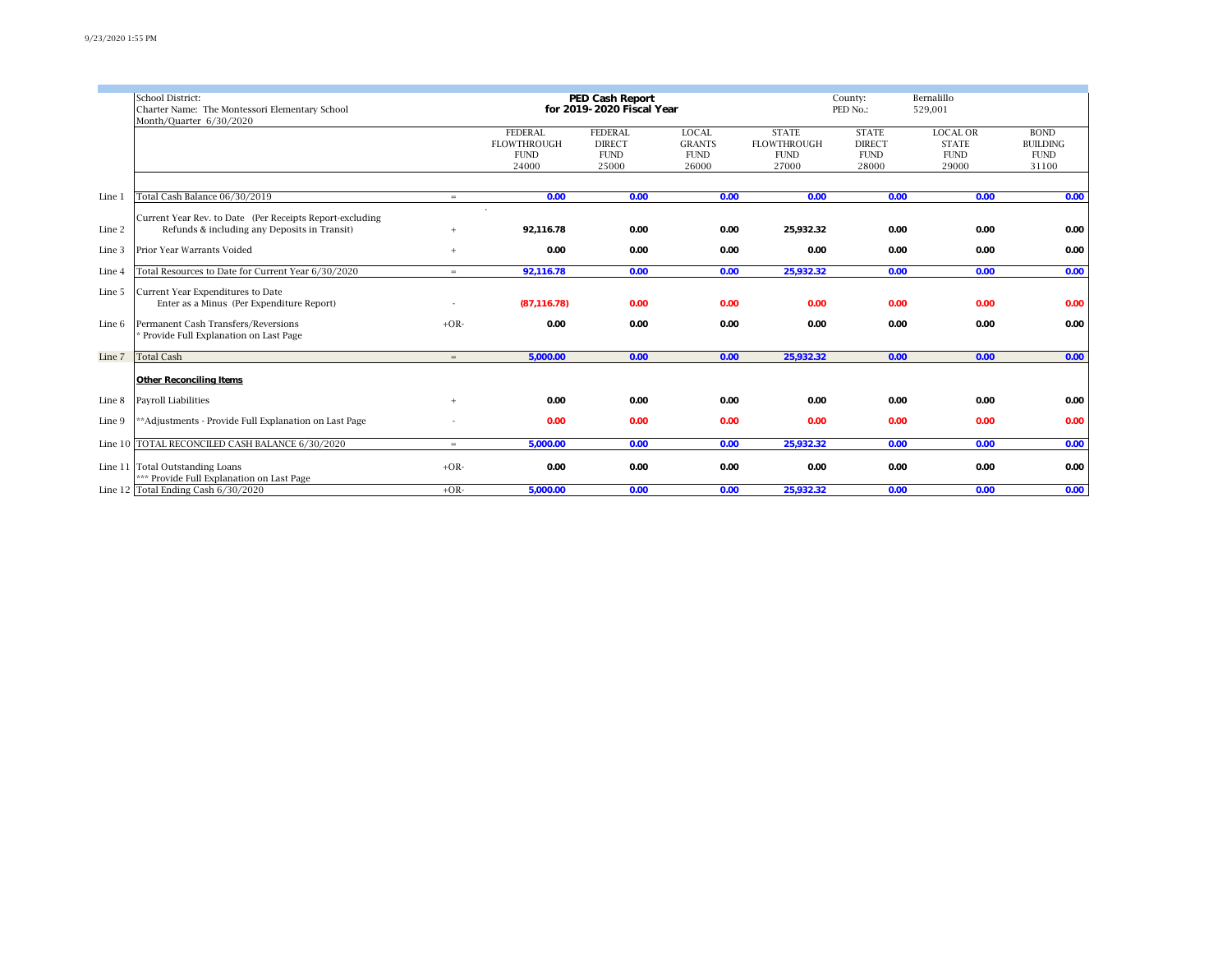|        | School District:<br>Charter Name: The Montessori Elementary School<br>Month/Quarter 6/30/2020            |        | PED Cash Report<br>for 2019-2020 Fiscal Year                 |                                                         | Bernalillo<br>County:<br>PED No.:<br>529,001          |                                                            |                                                       |                                                         |                                                        |
|--------|----------------------------------------------------------------------------------------------------------|--------|--------------------------------------------------------------|---------------------------------------------------------|-------------------------------------------------------|------------------------------------------------------------|-------------------------------------------------------|---------------------------------------------------------|--------------------------------------------------------|
|        |                                                                                                          |        | <b>FEDERAL</b><br><b>FLOWTHROUGH</b><br><b>FUND</b><br>24000 | <b>FEDERAL</b><br><b>DIRECT</b><br><b>FUND</b><br>25000 | <b>LOCAL</b><br><b>GRANTS</b><br><b>FUND</b><br>26000 | <b>STATE</b><br><b>FLOWTHROUGH</b><br><b>FUND</b><br>27000 | <b>STATE</b><br><b>DIRECT</b><br><b>FUND</b><br>28000 | <b>LOCAL OR</b><br><b>STATE</b><br><b>FUND</b><br>29000 | <b>BOND</b><br><b>BUILDING</b><br><b>FUND</b><br>31100 |
| Line 1 | Total Cash Balance 06/30/2019                                                                            | $=$    | 0.00                                                         | 0.00                                                    | 0.00                                                  | 0.00                                                       | 0.00                                                  | 0.00                                                    | 0.00                                                   |
| Line 2 | Current Year Rev. to Date (Per Receipts Report-excluding<br>Refunds & including any Deposits in Transit) |        | 92,116.78                                                    | 0.00                                                    | 0.00                                                  | 25,932.32                                                  | 0.00                                                  | 0.00                                                    | 0.00                                                   |
| Line 3 | Prior Year Warrants Voided                                                                               | $+$    | 0.00                                                         | 0.00                                                    | 0.00                                                  | 0.00                                                       | 0.00                                                  | 0.00                                                    | 0.00                                                   |
| Line 4 | Total Resources to Date for Current Year 6/30/2020                                                       | $=$    | 92,116.78                                                    | 0.00                                                    | 0.00                                                  | 25,932.32                                                  | 0.00                                                  | 0.00                                                    | 0.00                                                   |
| Line 5 | Current Year Expenditures to Date<br>Enter as a Minus (Per Expenditure Report)                           |        | (87, 116.78)                                                 | 0.00                                                    | 0.00                                                  | 0.00                                                       | 0.00                                                  | 0.00                                                    | 0.00                                                   |
| Line 6 | Permanent Cash Transfers/Reversions<br>Provide Full Explanation on Last Page                             | $+OR-$ | 0.00                                                         | 0.00                                                    | 0.00                                                  | 0.00                                                       | 0.00                                                  | 0.00                                                    | 0.00                                                   |
| Line 7 | <b>Total Cash</b>                                                                                        | $=$    | 5,000.00                                                     | 0.00                                                    | 0.00                                                  | 25,932.32                                                  | 0.00                                                  | 0.00                                                    | 0.00                                                   |
|        | Other Reconciling Items                                                                                  |        |                                                              |                                                         |                                                       |                                                            |                                                       |                                                         |                                                        |
| Line 8 | Payroll Liabilities                                                                                      | $+$    | 0.00                                                         | 0.00                                                    | 0.00                                                  | 0.00                                                       | 0.00                                                  | 0.00                                                    | 0.00                                                   |
| Line 9 | **Adjustments - Provide Full Explanation on Last Page                                                    |        | 0.00                                                         | 0.00                                                    | 0.00                                                  | 0.00                                                       | 0.00                                                  | 0.00                                                    | 0.00                                                   |
|        | Line 10 TOTAL RECONCILED CASH BALANCE 6/30/2020                                                          | $=$    | 5,000.00                                                     | 0.00                                                    | 0.00                                                  | 25,932.32                                                  | 0.00                                                  | 0.00                                                    | 0.00                                                   |
|        | Line 11 Total Outstanding Loans<br>*** Provide Full Explanation on Last Page                             | $+OR-$ | 0.00                                                         | 0.00                                                    | 0.00                                                  | 0.00                                                       | 0.00                                                  | 0.00                                                    | 0.00                                                   |
|        | Line 12 Total Ending Cash $6\sqrt{30/2020}$                                                              | $+OR-$ | 5,000.00                                                     | 0.00                                                    | 0.00                                                  | 25,932.32                                                  | 0.00                                                  | 0.00                                                    | 0.00                                                   |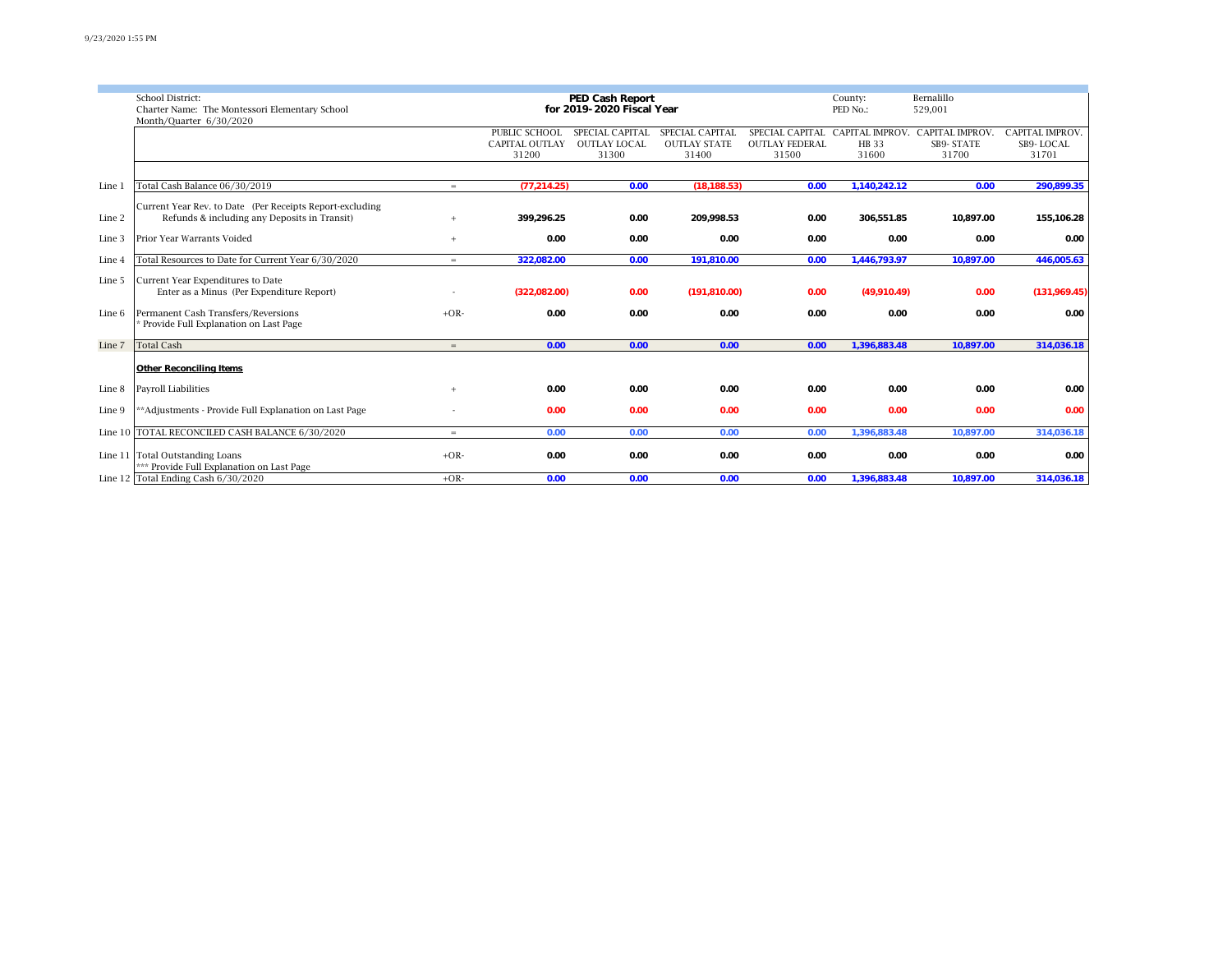|        | <b>School District:</b>                                                     |        |                       | PED Cash Report     |                     |                       | County:      | Bernalillo                                      |                        |
|--------|-----------------------------------------------------------------------------|--------|-----------------------|---------------------|---------------------|-----------------------|--------------|-------------------------------------------------|------------------------|
|        | for 2019-2020 Fiscal Year<br>Charter Name: The Montessori Elementary School |        |                       |                     |                     |                       |              | 529,001                                         |                        |
|        | Month/Quarter 6/30/2020                                                     |        |                       |                     |                     |                       | PED No.:     |                                                 |                        |
|        |                                                                             |        | PUBLIC SCHOOL         | SPECIAL CAPITAL     | SPECIAL CAPITAL     |                       |              | SPECIAL CAPITAL CAPITAL IMPROV. CAPITAL IMPROV. | <b>CAPITAL IMPROV.</b> |
|        |                                                                             |        | <b>CAPITAL OUTLAY</b> | <b>OUTLAY LOCAL</b> | <b>OUTLAY STATE</b> | <b>OUTLAY FEDERAL</b> | <b>HB</b> 33 | <b>SB9-STATE</b>                                | SB9-LOCAL              |
|        |                                                                             |        | 31200                 | 31300               | 31400               | 31500                 | 31600        | 31700                                           | 31701                  |
|        |                                                                             |        |                       |                     |                     |                       |              |                                                 |                        |
| Line 1 | Total Cash Balance 06/30/2019                                               | $=$    | (77, 214.25)          | 0.00                | (18, 188.53)        | 0.00                  | 1,140,242.12 | 0.00                                            | 290,899.35             |
|        |                                                                             |        |                       |                     |                     |                       |              |                                                 |                        |
|        | Current Year Rev. to Date (Per Receipts Report-excluding                    |        |                       |                     |                     |                       |              |                                                 |                        |
| Line 2 | Refunds & including any Deposits in Transit)                                | $+$    | 399,296.25            | 0.00                | 209,998.53          | 0.00                  | 306,551.85   | 10,897.00                                       | 155,106.28             |
|        |                                                                             |        |                       |                     |                     |                       |              |                                                 |                        |
| Line 3 | Prior Year Warrants Voided                                                  | $+$    | 0.00                  | 0.00                | 0.00                | 0.00                  | 0.00         | 0.00                                            | 0.00                   |
|        |                                                                             |        |                       |                     |                     |                       |              |                                                 |                        |
| Line 4 | Total Resources to Date for Current Year 6/30/2020                          | $=$    | 322,082.00            | 0.00                | 191,810.00          | 0.00                  | 1,446,793.97 | 10,897.00                                       | 446,005.63             |
| Line 5 | Current Year Expenditures to Date                                           |        |                       |                     |                     |                       |              |                                                 |                        |
|        | Enter as a Minus (Per Expenditure Report)                                   |        | (322,082.00)          | 0.00                | (191, 810.00)       | 0.00                  | (49,910.49)  | 0.00                                            | (131,969.45)           |
|        |                                                                             |        |                       |                     |                     |                       |              |                                                 |                        |
| Line 6 | Permanent Cash Transfers/Reversions                                         | $+OR-$ | 0.00                  | 0.00                | 0.00                | 0.00                  | 0.00         | 0.00                                            | 0.00                   |
|        | * Provide Full Explanation on Last Page                                     |        |                       |                     |                     |                       |              |                                                 |                        |
|        |                                                                             |        |                       |                     |                     |                       |              |                                                 |                        |
| Line 7 | <b>Total Cash</b>                                                           | $=$    | 0.00                  | 0.00                | 0.00                | 0.00                  | 1,396,883.48 | 10,897.00                                       | 314,036.18             |
|        |                                                                             |        |                       |                     |                     |                       |              |                                                 |                        |
|        | Other Reconciling Items                                                     |        |                       |                     |                     |                       |              |                                                 |                        |
|        |                                                                             |        |                       |                     |                     |                       |              |                                                 |                        |
| Line 8 | Payroll Liabilities                                                         | $+$    | 0.00                  | 0.00                | 0.00                | 0.00                  | 0.00         | 0.00                                            | 0.00                   |
| Line 9 | ** Adjustments - Provide Full Explanation on Last Page                      |        | 0.00                  | 0.00                | 0.00                | 0.00                  | 0.00         | 0.00                                            | 0.00                   |
|        |                                                                             |        |                       |                     |                     |                       |              |                                                 |                        |
|        | Line 10  TOTAL RECONCILED CASH BALANCE 6/30/2020                            | $=$    | 0.00                  | 0.00                | 0.00                | 0.00                  | 1,396,883.48 | 10,897.00                                       | 314,036.18             |
|        |                                                                             |        |                       |                     |                     |                       |              |                                                 |                        |
|        | Line 11 Total Outstanding Loans                                             | $+OR-$ | 0.00                  | 0.00                | 0.00                | 0.00                  | 0.00         | 0.00                                            | 0.00                   |
|        | *** Provide Full Explanation on Last Page                                   |        |                       |                     |                     |                       |              |                                                 |                        |
|        | Line 12 Total Ending Cash $6/30/2020$                                       | $+OR-$ | 0.00                  | 0.00                | 0.00                | 0.00                  | 1,396,883.48 | 10,897.00                                       | 314,036.18             |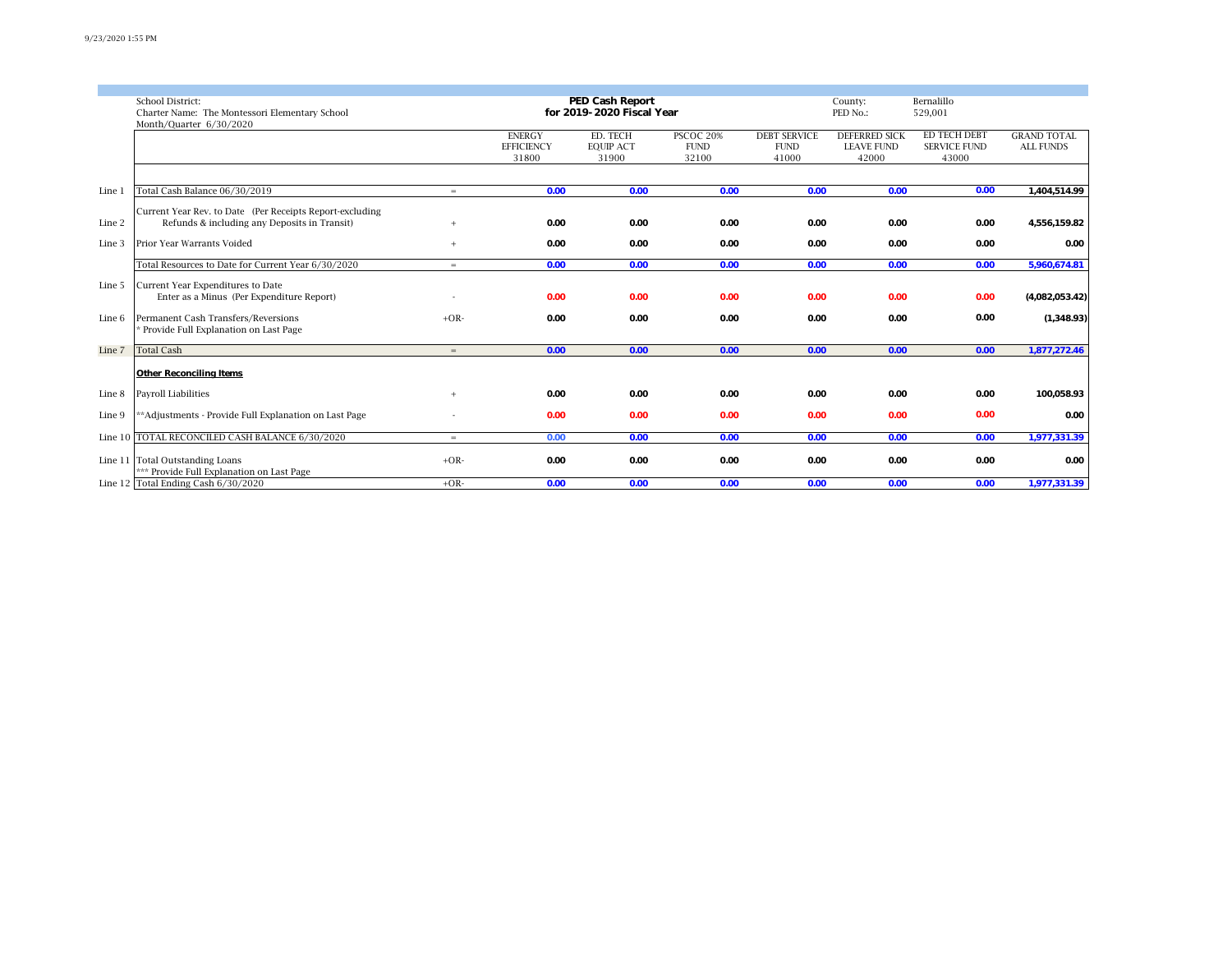|        | School District:                                                                                         |        | PED Cash Report                    |                              | County:                         | Bernalillo                         |                                           |                                     |                                        |
|--------|----------------------------------------------------------------------------------------------------------|--------|------------------------------------|------------------------------|---------------------------------|------------------------------------|-------------------------------------------|-------------------------------------|----------------------------------------|
|        | Charter Name: The Montessori Elementary School                                                           |        | for 2019-2020 Fiscal Year          |                              | PED No.:                        | 529,001                            |                                           |                                     |                                        |
|        | Month/Quarter 6/30/2020                                                                                  |        | <b>ENERGY</b><br><b>EFFICIENCY</b> | ED. TECH<br><b>EQUIP ACT</b> | <b>PSCOC 20%</b><br><b>FUND</b> | <b>DEBT SERVICE</b><br><b>FUND</b> | <b>DEFERRED SICK</b><br><b>LEAVE FUND</b> | ED TECH DEBT<br><b>SERVICE FUND</b> | <b>GRAND TOTAL</b><br><b>ALL FUNDS</b> |
|        |                                                                                                          |        | 31800                              | 31900                        | 32100                           | 41000                              | 42000                                     | 43000                               |                                        |
|        |                                                                                                          |        |                                    |                              |                                 |                                    |                                           |                                     |                                        |
| Line 1 | Total Cash Balance 06/30/2019                                                                            | $=$    | 0.00                               | 0.00                         | 0.00                            | 0.00                               | 0.00                                      | 0.00                                | 1,404,514.99                           |
| Line 2 | Current Year Rev. to Date (Per Receipts Report-excluding<br>Refunds & including any Deposits in Transit) | $+$    | 0.00                               | 0.00                         | 0.00                            | 0.00                               | 0.00                                      | 0.00                                | 4,556,159.82                           |
| Line 3 | <b>Prior Year Warrants Voided</b>                                                                        | $+$    | 0.00                               | 0.00                         | 0.00                            | 0.00                               | 0.00                                      | 0.00                                | 0.00                                   |
|        | Total Resources to Date for Current Year 6/30/2020                                                       | $=$    | 0.00                               | 0.00                         | 0.00                            | 0.00                               | 0.00                                      | 0.00                                | 5,960,674.81                           |
| Line 5 | Current Year Expenditures to Date<br>Enter as a Minus (Per Expenditure Report)                           |        | 0.00                               | 0.00                         | 0.00                            | 0.00                               | 0.00                                      | 0.00                                | (4,082,053.42)                         |
| Line 6 | Permanent Cash Transfers/Reversions<br>Provide Full Explanation on Last Page                             | $+OR-$ | 0.00                               | 0.00                         | 0.00                            | 0.00                               | 0.00                                      | 0.00                                | (1,348.93)                             |
| Line 7 | <b>Total Cash</b>                                                                                        | $=$    | 0.00                               | 0.00                         | 0.00                            | 0.00                               | 0.00                                      | 0.00                                | 1,877,272.46                           |
|        | Other Reconciling Items                                                                                  |        |                                    |                              |                                 |                                    |                                           |                                     |                                        |
| Line 8 | Payroll Liabilities                                                                                      |        | 0.00                               | 0.00                         | 0.00                            | 0.00                               | 0.00                                      | 0.00                                | 100,058.93                             |
| Line 9 | **Adjustments - Provide Full Explanation on Last Page                                                    |        | 0.00                               | 0.00                         | 0.00                            | 0.00                               | 0.00                                      | 0.00                                | 0.00                                   |
|        | Line 10  TOTAL RECONCILED CASH BALANCE 6/30/2020                                                         | $=$    | 0.00                               | 0.00                         | 0.00                            | 0.00                               | 0.00                                      | 0.00                                | 1,977,331.39                           |
|        | Line 11 Total Outstanding Loans<br>*** Provide Full Explanation on Last Page                             | $+OR-$ | 0.00                               | 0.00                         | 0.00                            | 0.00                               | 0.00                                      | 0.00                                | 0.00                                   |
|        | Line 12 Total Ending Cash $6/30/2020$                                                                    | $+OR-$ | 0.00                               | 0.00                         | 0.00                            | 0.00                               | 0.00                                      | 0.00                                | 1,977,331.39                           |